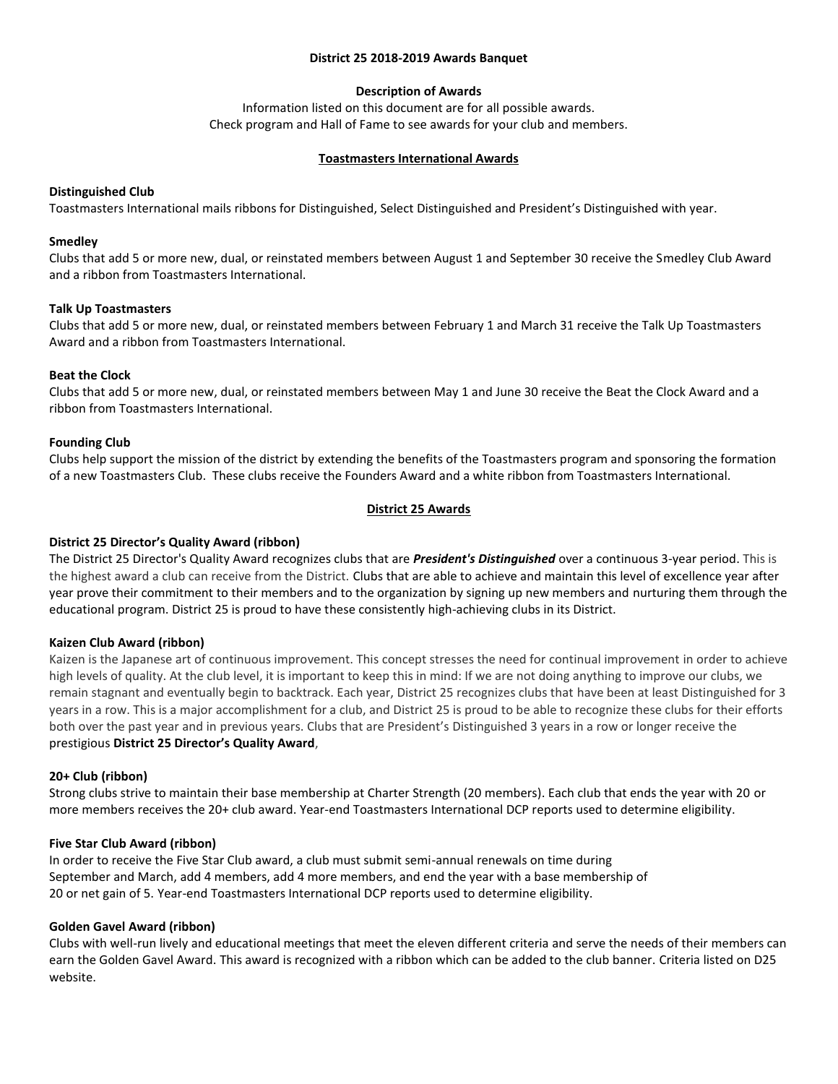#### **District 25 2018-2019 Awards Banquet**

# **Description of Awards**

Information listed on this document are for all possible awards. Check program and Hall of Fame to see awards for your club and members.

#### **Toastmasters International Awards**

### **Distinguished Club**

Toastmasters International mails ribbons for Distinguished, Select Distinguished and President's Distinguished with year.

#### **Smedley**

Clubs that add 5 or more new, dual, or reinstated members between August 1 and September 30 receive the Smedley Club Award and a ribbon from Toastmasters International.

### **Talk Up Toastmasters**

Clubs that add 5 or more new, dual, or reinstated members between February 1 and March 31 receive the Talk Up Toastmasters Award and a ribbon from Toastmasters International.

### **Beat the Clock**

Clubs that add 5 or more new, dual, or reinstated members between May 1 and June 30 receive the Beat the Clock Award and a ribbon from Toastmasters International.

### **Founding Club**

Clubs help support the mission of the district by extending the benefits of the Toastmasters program and sponsoring the formation of a new Toastmasters Club. These clubs receive the Founders Award and a white ribbon from Toastmasters International.

### **District 25 Awards**

# **District 25 Director's Quality Award (ribbon)**

The District 25 Director's Quality Award recognizes clubs that are *President's Distinguished* over a continuous 3-year period. This is the highest award a club can receive from the District. Clubs that are able to achieve and maintain this level of excellence year after year prove their commitment to their members and to the organization by signing up new members and nurturing them through the educational program. District 25 is proud to have these consistently high-achieving clubs in its District.

#### **Kaizen Club Award (ribbon)**

Kaizen is the Japanese art of continuous improvement. This concept stresses the need for continual improvement in order to achieve high levels of quality. At the club level, it is important to keep this in mind: If we are not doing anything to improve our clubs, we remain stagnant and eventually begin to backtrack. Each year, District 25 recognizes clubs that have been at least Distinguished for 3 years in a row. This is a major accomplishment for a club, and District 25 is proud to be able to recognize these clubs for their efforts both over the past year and in previous years. Clubs that are President's Distinguished 3 years in a row or longer receive the prestigious **[District 25 Director](http://d25toastmasters.org/halloffame/qualityaward.html)'s Quality Award**,

#### **20+ Club (ribbon)**

Strong clubs strive to maintain their base membership at Charter Strength (20 members). Each club that ends the year with 20 or more members receives the 20+ club award. Year-end Toastmasters International DCP reports used to determine eligibility.

## **Five Star Club Award (ribbon)**

In order to receive the Five Star Club award, a club must submit semi-annual renewals on time during September and March, add 4 members, add 4 more members, and end the year with a base membership of 20 or net gain of 5. Year-end Toastmasters International DCP reports used to determine eligibility.

#### **Golden Gavel Award (ribbon)**

Clubs with well-run lively and educational meetings that meet the eleven different criteria and serve the needs of their members can earn the Golden Gavel Award. This award is recognized with a ribbon which can be added to the club banner. Criteria listed on D25 website.